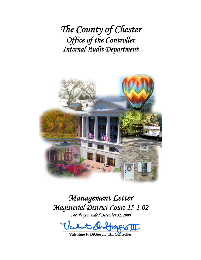*The County of Chester Office of the Controller Internal Audit Department*



# *Management Letter Magisterial District Court 15-1-02*

*For the year ended December 31, 2009* 

 $-22 - 3 - 3 - 8$ 

**Valentino F. DiGiorgio, III, Controller**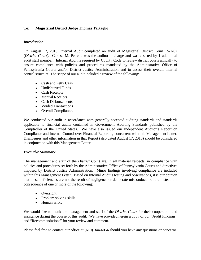### **To: Magisterial District Judge Thomas Tartaglio**

#### *Introduction*

On August 17, 2010, Internal Audit completed an audit of Magisterial District Court 15-1-02 (*District Court*). Carissa M. Petrelia was the auditor-in-charge and was assisted by 1 additional audit staff member. Internal Audit is required by County Code to review district courts annually to ensure compliance with policies and procedures mandated by the Administrative Office of Pennsylvania Courts and/or District Justice Administration and to assess their overall internal control structure. The scope of our audit included a review of the following:

- Cash and Petty Cash
- Undisbursed Funds
- Cash Receipts
- Manual Receipts
- Cash Disbursements
- Voided Transactions
- Overall Compliance.

We conducted our audit in accordance with generally accepted auditing standards and standards applicable to financial audits contained in Government Auditing Standards published by the Comptroller of the United States. We have also issued our Independent Auditor's Report on Compliance and Internal Control over Financial Reporting concurrent with this Management Letter. Disclosures and other information in that Report (also dated August 17, 2010) should be considered in conjunction with this Management Letter.

### *Executive Summary*

The management and staff of the *District Court* are, in all material respects, in compliance with policies and procedures set forth by the Administrative Office of Pennsylvania Courts and directives imposed by District Justice Administration. Minor findings involving compliance are included within this Management Letter. Based on Internal Audit's testing and observations, it is our opinion that these deficiencies are not the result of negligence or deliberate misconduct, but are instead the consequence of one or more of the following:

- Oversight
- Problem solving skills
- Human error.

We would like to thank the management and staff of the *District Court* for their cooperation and assistance during the course of this audit. We have provided herein a copy of our "Audit Findings" and "Recommendations" for your review and comment.

Please feel free to contact our office at (610) 344-6064 should you have any questions or concerns.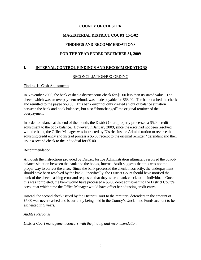#### **COUNTY OF CHESTER**

## **MAGISTERIAL DISTRICT COURT 15-1-02**

## **FINDINGS AND RECOMMENDATIONS**

## **FOR THE YEAR ENDED DECEMBER 31, 2009**

## **I. INTERNAL CONTROL FINDINGS AND RECOMMENDATIONS**

#### RECONCILIATION/RECORDING

#### Finding 1: Cash Adjustments

In November 2008, the bank cashed a district court check for \$5.00 less than its stated value. The check, which was an overpayment refund, was made payable for \$68.00. The bank cashed the check and remitted to the payee \$63.00. This bank error not only created an out of balance situation between the bank and book balances, but also "shortchanged" the original remitter of the overpayment.

In order to balance at the end of the month, the District Court properly processed a \$5.00 credit adjustment to the book balance. However, in January 2009, since the error had not been resolved with the bank, the Office Manager was instructed by District Justice Administration to reverse the adjusting credit entry and instead process a \$5.00 receipt to the original remitter / defendant and then issue a second check to the individual for \$5.00.

#### Recommendation

Although the instructions provided by District Justice Administration ultimately resolved the out-ofbalance situation between the bank and the books, Internal Audit suggests that this was not the proper way to correct the error. Since the bank processed the check incorrectly, the underpayment should have been resolved by the bank. Specifically, the District Court should have notified the bank of the check cashing error and requested that they issue a bank check to the individual. Once this was completed, the bank would have processed a \$5.00 debit adjustment to the District Court's account at which time the Office Manager would have offset her adjusting credit entry.

Instead, the second check issued by the District Court to the remitter / defendant in the amount of \$5.00 was never cashed and is currently being held in the County's Unclaimed Funds account to be escheated in 5 years.

#### *Auditee Response*

*District Court management concurs with the finding and recommendation.*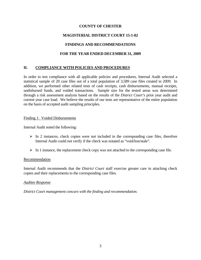## **COUNTY OF CHESTER**

## **MAGISTERIAL DISTRICT COURT 15-1-02**

## **FINDINGS AND RECOMMENDATIONS**

## **FOR THE YEAR ENDED DECEMBER 31, 2009**

## **II. COMPLIANCE WITH POLICIES AND PROCEDURES**

In order to test compliance with all applicable policies and procedures, Internal Audit selected a statistical sample of 20 case files out of a total population of 3,589 case files created in 2009. In addition, we performed other related tests of cash receipts, cash disbursements, manual receipts, undisbursed funds, and voided transactions. Sample size for the tested areas was determined through a risk assessment analysis based on the results of the *District Court's* prior year audit and current year case load. We believe the results of our tests are representative of the entire population on the basis of accepted audit sampling principles.

#### Finding 1: Voided Disbursements

Internal Audit noted the following:

- $\triangleright$  In 2 instances, check copies were not included in the corresponding case files, therefore Internal Audit could not verify if the check was notated as "void/lost/stale".
- $\triangleright$  In 1 instance, the replacement check copy was not attached to the corresponding case file.

#### Recommendation

Internal Audit recommends that the *District Court* staff exercise greater care in attaching check copies and their replacements to the corresponding case files.

#### *Auditee Response*

*District Court management concurs with the finding and recommendation.*